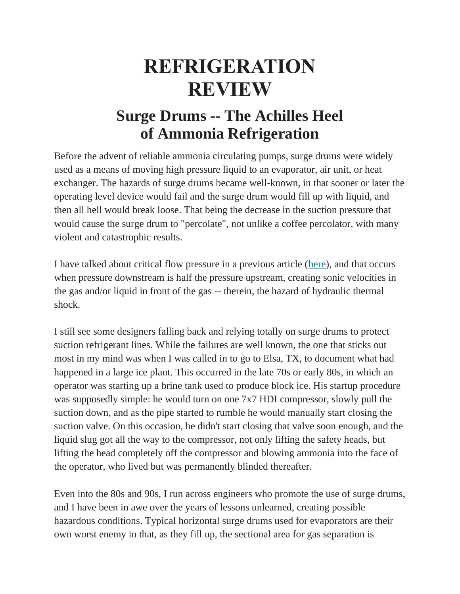## **REFRIGERATION REVIEW**

## **Surge Drums -- The Achilles Heel of Ammonia Refrigeration**

Before the advent of reliable ammonia circulating pumps, surge drums were widely used as a means of moving high pressure liquid to an evaporator, air unit, or heat exchanger. The hazards of surge drums became well-known, in that sooner or later the operating level device would fail and the surge drum would fill up with liquid, and then all hell would break loose. That being the decrease in the suction pressure that would cause the surge drum to "percolate", not unlike a coffee percolator, with many violent and catastrophic results.

I have talked about critical flow pressure in a previous article [\(here\)](https://bonareng.us4.list-manage.com/track/click?u=8d2d9b9b1fd107c5f88a15e29&id=51a6d8c551&e=6295712584), and that occurs when pressure downstream is half the pressure upstream, creating sonic velocities in the gas and/or liquid in front of the gas -- therein, the hazard of hydraulic thermal shock.

I still see some designers falling back and relying totally on surge drums to protect suction refrigerant lines. While the failures are well known, the one that sticks out most in my mind was when I was called in to go to Elsa, TX, to document what had happened in a large ice plant. This occurred in the late 70s or early 80s, in which an operator was starting up a brine tank used to produce block ice. His startup procedure was supposedly simple: he would turn on one 7x7 HDI compressor, slowly pull the suction down, and as the pipe started to rumble he would manually start closing the suction valve. On this occasion, he didn't start closing that valve soon enough, and the liquid slug got all the way to the compressor, not only lifting the safety heads, but lifting the head completely off the compressor and blowing ammonia into the face of the operator, who lived but was permanently blinded thereafter.

Even into the 80s and 90s, I run across engineers who promote the use of surge drums, and I have been in awe over the years of lessons unlearned, creating possible hazardous conditions. Typical horizontal surge drums used for evaporators are their own worst enemy in that, as they fill up, the sectional area for gas separation is